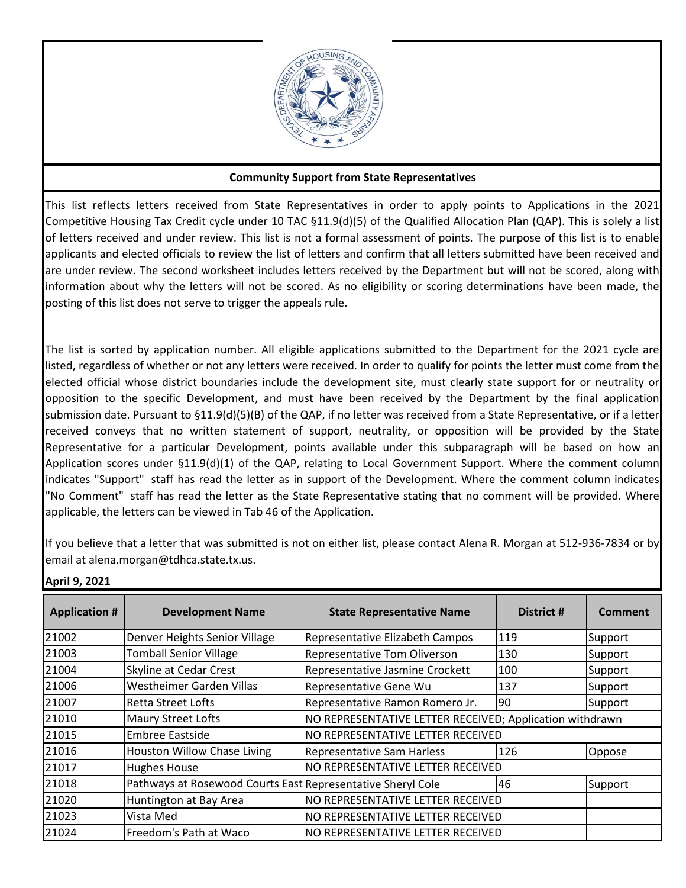

## **Community Support from State Representatives**

This list reflects letters received from State Representatives in order to apply points to Applications in the 2021 Competitive Housing Tax Credit cycle under 10 TAC §11.9(d)(5) of the Qualified Allocation Plan (QAP). This is solely a list of letters received and under review. This list is not a formal assessment of points. The purpose of this list is to enable applicants and elected officials to review the list of letters and confirm that all letters submitted have been received and are under review. The second worksheet includes letters received by the Department but will not be scored, along with information about why the letters will not be scored. As no eligibility or scoring determinations have been made, the posting of this list does not serve to trigger the appeals rule.

The list is sorted by application number. All eligible applications submitted to the Department for the 2021 cycle are listed, regardless of whether or not any letters were received. In order to qualify for points the letter must come from the elected official whose district boundaries include the development site, must clearly state support for or neutrality or opposition to the specific Development, and must have been received by the Department by the final application submission date. Pursuant to §11.9(d)(5)(B) of the QAP, if no letter was received from a State Representative, or if a letter received conveys that no written statement of support, neutrality, or opposition will be provided by the State Representative for a particular Development, points available under this subparagraph will be based on how an Application scores under §11.9(d)(1) of the QAP, relating to Local Government Support. Where the comment column indicates "Support" staff has read the letter as in support of the Development. Where the comment column indicates "No Comment" staff has read the letter as the State Representative stating that no comment will be provided. Where applicable, the letters can be viewed in Tab 46 of the Application.

If you believe that a letter that was submitted is not on either list, please contact Alena R. Morgan at 512-936-7834 or by email at alena.morgan@tdhca.state.tx.us.

| <b>Application #</b> | <b>Development Name</b>                                     | <b>State Representative Name</b>                         | District # | Comment |
|----------------------|-------------------------------------------------------------|----------------------------------------------------------|------------|---------|
| 21002                | Denver Heights Senior Village                               | Representative Elizabeth Campos                          | 119        | Support |
| 21003                | <b>Tomball Senior Village</b>                               | Representative Tom Oliverson                             | 130        | Support |
| 21004                | Skyline at Cedar Crest                                      | Representative Jasmine Crockett                          | 100        | Support |
| 21006                | <b>Westheimer Garden Villas</b>                             | Representative Gene Wu                                   | 137        | Support |
| 21007                | <b>Retta Street Lofts</b>                                   | Representative Ramon Romero Jr.                          | 90         | Support |
| 21010                | Maury Street Lofts                                          | NO REPRESENTATIVE LETTER RECEIVED; Application withdrawn |            |         |
| 21015                | <b>Embree Eastside</b>                                      | NO REPRESENTATIVE LETTER RECEIVED                        |            |         |
| 21016                | <b>Houston Willow Chase Living</b>                          | <b>Representative Sam Harless</b>                        | 126        | Oppose  |
| 21017                | <b>Hughes House</b>                                         | NO REPRESENTATIVE LETTER RECEIVED                        |            |         |
| 21018                | Pathways at Rosewood Courts East Representative Sheryl Cole |                                                          | 46         | Support |
| 21020                | Huntington at Bay Area                                      | NO REPRESENTATIVE LETTER RECEIVED                        |            |         |
| 21023                | Vista Med                                                   | NO REPRESENTATIVE LETTER RECEIVED                        |            |         |
| 21024                | Freedom's Path at Waco                                      | NO REPRESENTATIVE LETTER RECEIVED                        |            |         |

**April 9, 2021**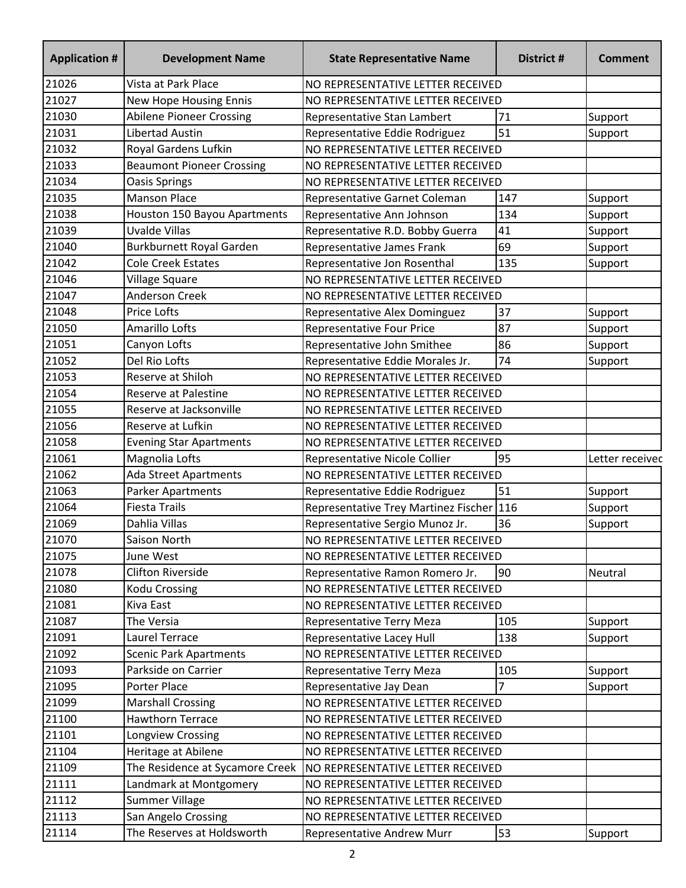| <b>Application #</b> | <b>Development Name</b>          | <b>State Representative Name</b>         | District # | <b>Comment</b>  |
|----------------------|----------------------------------|------------------------------------------|------------|-----------------|
| 21026                | Vista at Park Place              | NO REPRESENTATIVE LETTER RECEIVED        |            |                 |
| 21027                | New Hope Housing Ennis           | NO REPRESENTATIVE LETTER RECEIVED        |            |                 |
| 21030                | <b>Abilene Pioneer Crossing</b>  | Representative Stan Lambert              | 71         | Support         |
| 21031                | Libertad Austin                  | Representative Eddie Rodriguez           | 51         | Support         |
| 21032                | Royal Gardens Lufkin             | NO REPRESENTATIVE LETTER RECEIVED        |            |                 |
| 21033                | <b>Beaumont Pioneer Crossing</b> | NO REPRESENTATIVE LETTER RECEIVED        |            |                 |
| 21034                | Oasis Springs                    | NO REPRESENTATIVE LETTER RECEIVED        |            |                 |
| 21035                | <b>Manson Place</b>              | Representative Garnet Coleman            | 147        | Support         |
| 21038                | Houston 150 Bayou Apartments     | Representative Ann Johnson               | 134        | Support         |
| 21039                | <b>Uvalde Villas</b>             | Representative R.D. Bobby Guerra         | 41         | Support         |
| 21040                | Burkburnett Royal Garden         | Representative James Frank               | 69         | Support         |
| 21042                | <b>Cole Creek Estates</b>        | Representative Jon Rosenthal             | 135        | Support         |
| 21046                | Village Square                   | NO REPRESENTATIVE LETTER RECEIVED        |            |                 |
| 21047                | <b>Anderson Creek</b>            | NO REPRESENTATIVE LETTER RECEIVED        |            |                 |
| 21048                | <b>Price Lofts</b>               | Representative Alex Dominguez            | 37         | Support         |
| 21050                | Amarillo Lofts                   | <b>Representative Four Price</b>         | 87         | Support         |
| 21051                | Canyon Lofts                     | Representative John Smithee              | 86         | Support         |
| 21052                | Del Rio Lofts                    | Representative Eddie Morales Jr.         | 74         | Support         |
| 21053                | Reserve at Shiloh                | NO REPRESENTATIVE LETTER RECEIVED        |            |                 |
| 21054                | <b>Reserve at Palestine</b>      | NO REPRESENTATIVE LETTER RECEIVED        |            |                 |
| 21055                | Reserve at Jacksonville          | NO REPRESENTATIVE LETTER RECEIVED        |            |                 |
| 21056                | Reserve at Lufkin                | NO REPRESENTATIVE LETTER RECEIVED        |            |                 |
| 21058                | <b>Evening Star Apartments</b>   | NO REPRESENTATIVE LETTER RECEIVED        |            |                 |
| 21061                | Magnolia Lofts                   | Representative Nicole Collier            | 95         | Letter receivec |
| 21062                | <b>Ada Street Apartments</b>     | NO REPRESENTATIVE LETTER RECEIVED        |            |                 |
| 21063                | Parker Apartments                | Representative Eddie Rodriguez           | 51         | Support         |
| 21064                | <b>Fiesta Trails</b>             | Representative Trey Martinez Fischer 116 |            | Support         |
| 21069                | Dahlia Villas                    | Representative Sergio Munoz Jr.          | 36         | Support         |
| 21070                | Saison North                     | NO REPRESENTATIVE LETTER RECEIVED        |            |                 |
| 21075                | June West                        | NO REPRESENTATIVE LETTER RECEIVED        |            |                 |
| 21078                | <b>Clifton Riverside</b>         | Representative Ramon Romero Jr.          | 90         | Neutral         |
| 21080                | <b>Kodu Crossing</b>             | NO REPRESENTATIVE LETTER RECEIVED        |            |                 |
| 21081                | Kiva East                        | NO REPRESENTATIVE LETTER RECEIVED        |            |                 |
| 21087                | The Versia                       | Representative Terry Meza                | 105        | Support         |
| 21091                | <b>Laurel Terrace</b>            | Representative Lacey Hull                | 138        | Support         |
| 21092                | <b>Scenic Park Apartments</b>    | NO REPRESENTATIVE LETTER RECEIVED        |            |                 |
| 21093                | Parkside on Carrier              | Representative Terry Meza                | 105        | Support         |
| 21095                | Porter Place                     | Representative Jay Dean                  |            | Support         |
| 21099                | <b>Marshall Crossing</b>         | NO REPRESENTATIVE LETTER RECEIVED        |            |                 |
| 21100                | Hawthorn Terrace                 | NO REPRESENTATIVE LETTER RECEIVED        |            |                 |
| 21101                | Longview Crossing                | NO REPRESENTATIVE LETTER RECEIVED        |            |                 |
| 21104                | Heritage at Abilene              | NO REPRESENTATIVE LETTER RECEIVED        |            |                 |
| 21109                | The Residence at Sycamore Creek  | NO REPRESENTATIVE LETTER RECEIVED        |            |                 |
| 21111                | Landmark at Montgomery           | NO REPRESENTATIVE LETTER RECEIVED        |            |                 |
| 21112                | <b>Summer Village</b>            | NO REPRESENTATIVE LETTER RECEIVED        |            |                 |
| 21113                | San Angelo Crossing              | NO REPRESENTATIVE LETTER RECEIVED        |            |                 |
| 21114                | The Reserves at Holdsworth       | Representative Andrew Murr               | 53         | Support         |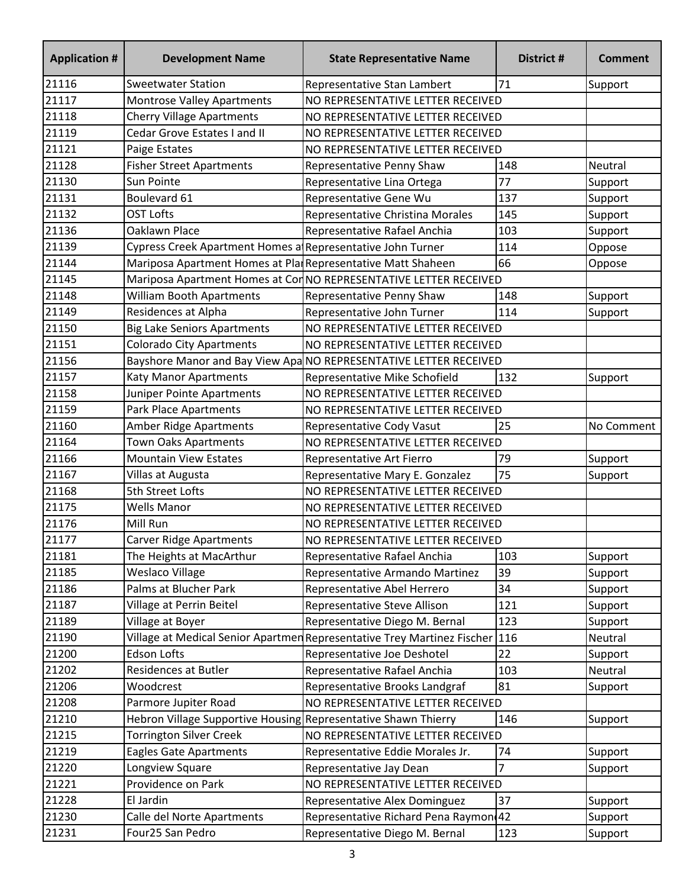| <b>Application #</b> | <b>Development Name</b>                                        | <b>State Representative Name</b>                                        | District # | <b>Comment</b> |
|----------------------|----------------------------------------------------------------|-------------------------------------------------------------------------|------------|----------------|
| 21116                | <b>Sweetwater Station</b>                                      | Representative Stan Lambert                                             | 71         | Support        |
| 21117                | <b>Montrose Valley Apartments</b>                              | NO REPRESENTATIVE LETTER RECEIVED                                       |            |                |
| 21118                | <b>Cherry Village Apartments</b>                               | NO REPRESENTATIVE LETTER RECEIVED                                       |            |                |
| 21119                | Cedar Grove Estates I and II                                   | NO REPRESENTATIVE LETTER RECEIVED                                       |            |                |
| 21121                | Paige Estates                                                  | NO REPRESENTATIVE LETTER RECEIVED                                       |            |                |
| 21128                | <b>Fisher Street Apartments</b>                                | Representative Penny Shaw                                               | 148        | Neutral        |
| 21130                | Sun Pointe                                                     | Representative Lina Ortega                                              | 77         | Support        |
| 21131                | Boulevard 61                                                   | Representative Gene Wu                                                  | 137        | Support        |
| 21132                | <b>OST Lofts</b>                                               | Representative Christina Morales                                        | 145        | Support        |
| 21136                | Oaklawn Place                                                  | Representative Rafael Anchia                                            | 103        | Support        |
| 21139                | Cypress Creek Apartment Homes a Representative John Turner     |                                                                         | 114        | Oppose         |
| 21144                | Mariposa Apartment Homes at Pla Representative Matt Shaheen    |                                                                         | 66         | Oppose         |
| 21145                |                                                                | Mariposa Apartment Homes at CorNO REPRESENTATIVE LETTER RECEIVED        |            |                |
| 21148                | <b>William Booth Apartments</b>                                | Representative Penny Shaw                                               | 148        | Support        |
| 21149                | Residences at Alpha                                            | Representative John Turner                                              | 114        | Support        |
| 21150                | <b>Big Lake Seniors Apartments</b>                             | NO REPRESENTATIVE LETTER RECEIVED                                       |            |                |
| 21151                | <b>Colorado City Apartments</b>                                | NO REPRESENTATIVE LETTER RECEIVED                                       |            |                |
| 21156                |                                                                | Bayshore Manor and Bay View Apa NO REPRESENTATIVE LETTER RECEIVED       |            |                |
| 21157                | <b>Katy Manor Apartments</b>                                   | Representative Mike Schofield                                           | 132        | Support        |
| 21158                | Juniper Pointe Apartments                                      | NO REPRESENTATIVE LETTER RECEIVED                                       |            |                |
| 21159                | Park Place Apartments                                          | NO REPRESENTATIVE LETTER RECEIVED                                       |            |                |
| 21160                | <b>Amber Ridge Apartments</b>                                  | Representative Cody Vasut                                               | 25         | No Comment     |
| 21164                | <b>Town Oaks Apartments</b>                                    | NO REPRESENTATIVE LETTER RECEIVED                                       |            |                |
| 21166                | <b>Mountain View Estates</b>                                   | Representative Art Fierro                                               | 79         | Support        |
| 21167                | Villas at Augusta                                              | Representative Mary E. Gonzalez                                         | 75         | Support        |
| 21168                | 5th Street Lofts                                               | NO REPRESENTATIVE LETTER RECEIVED                                       |            |                |
| 21175                | <b>Wells Manor</b>                                             | NO REPRESENTATIVE LETTER RECEIVED                                       |            |                |
| 21176                | Mill Run                                                       | NO REPRESENTATIVE LETTER RECEIVED                                       |            |                |
| 21177                | <b>Carver Ridge Apartments</b>                                 | NO REPRESENTATIVE LETTER RECEIVED                                       |            |                |
| 21181                | The Heights at MacArthur                                       | Representative Rafael Anchia                                            | 103        | Support        |
| 21185                | Weslaco Village                                                | Representative Armando Martinez                                         | 39         | Support        |
| 21186                | Palms at Blucher Park                                          | Representative Abel Herrero                                             | 34         | Support        |
| 21187                | Village at Perrin Beitel                                       | Representative Steve Allison                                            | 121        | Support        |
| 21189                | Village at Boyer                                               | Representative Diego M. Bernal                                          | 123        | Support        |
| 21190                |                                                                | Village at Medical Senior Apartmen Representative Trey Martinez Fischer | 116        | Neutral        |
| 21200                | <b>Edson Lofts</b>                                             | Representative Joe Deshotel                                             | 22         | Support        |
| 21202                | Residences at Butler                                           | Representative Rafael Anchia                                            | 103        | Neutral        |
| 21206                | Woodcrest                                                      | Representative Brooks Landgraf                                          | 81         | Support        |
| 21208                | Parmore Jupiter Road                                           | NO REPRESENTATIVE LETTER RECEIVED                                       |            |                |
| 21210                | Hebron Village Supportive Housing Representative Shawn Thierry |                                                                         | 146        | Support        |
| 21215                | <b>Torrington Silver Creek</b>                                 | NO REPRESENTATIVE LETTER RECEIVED                                       |            |                |
| 21219                | <b>Eagles Gate Apartments</b>                                  | Representative Eddie Morales Jr.                                        | 74         | Support        |
| 21220                | Longview Square                                                | Representative Jay Dean                                                 | 7          | Support        |
| 21221                | Providence on Park                                             | NO REPRESENTATIVE LETTER RECEIVED                                       |            |                |
| 21228                | El Jardin                                                      | Representative Alex Dominguez                                           | 37         | Support        |
| 21230                | Calle del Norte Apartments                                     | Representative Richard Pena Raymon 42                                   |            | Support        |
| 21231                | Four25 San Pedro                                               | Representative Diego M. Bernal                                          | 123        | Support        |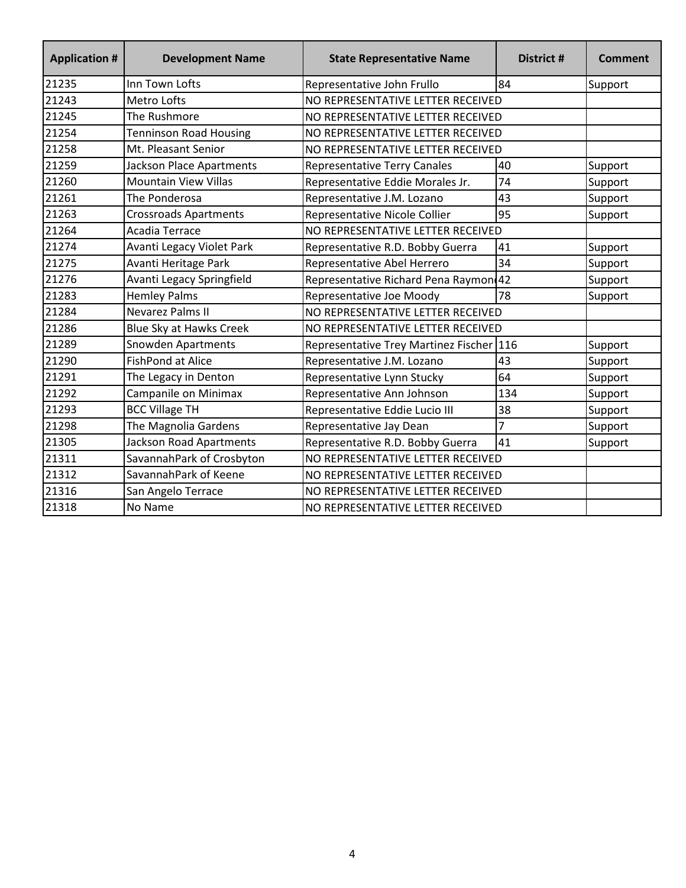| <b>Application #</b> | <b>Development Name</b>        | <b>State Representative Name</b>      | District #     | <b>Comment</b> |
|----------------------|--------------------------------|---------------------------------------|----------------|----------------|
| 21235                | Inn Town Lofts                 | Representative John Frullo            | 84             | Support        |
| 21243                | Metro Lofts                    | NO REPRESENTATIVE LETTER RECEIVED     |                |                |
| 21245                | The Rushmore                   | NO REPRESENTATIVE LETTER RECEIVED     |                |                |
| 21254                | <b>Tenninson Road Housing</b>  | NO REPRESENTATIVE LETTER RECEIVED     |                |                |
| 21258                | Mt. Pleasant Senior            | NO REPRESENTATIVE LETTER RECEIVED     |                |                |
| 21259                | Jackson Place Apartments       | <b>Representative Terry Canales</b>   | 40             | Support        |
| 21260                | <b>Mountain View Villas</b>    | Representative Eddie Morales Jr.      | 74             | Support        |
| 21261                | The Ponderosa                  | Representative J.M. Lozano            | 43             | Support        |
| 21263                | <b>Crossroads Apartments</b>   | Representative Nicole Collier         | 95             | Support        |
| 21264                | Acadia Terrace                 | NO REPRESENTATIVE LETTER RECEIVED     |                |                |
| 21274                | Avanti Legacy Violet Park      | Representative R.D. Bobby Guerra      | 41             | Support        |
| 21275                | Avanti Heritage Park           | Representative Abel Herrero           | 34             | Support        |
| 21276                | Avanti Legacy Springfield      | Representative Richard Pena Raymon 42 |                | Support        |
| 21283                | <b>Hemley Palms</b>            | Representative Joe Moody              | 78             | Support        |
| 21284                | <b>Nevarez Palms II</b>        | NO REPRESENTATIVE LETTER RECEIVED     |                |                |
| 21286                | Blue Sky at Hawks Creek        | NO REPRESENTATIVE LETTER RECEIVED     |                |                |
| 21289                | <b>Snowden Apartments</b>      | Representative Trey Martinez Fischer  | 116            | Support        |
| 21290                | <b>FishPond at Alice</b>       | Representative J.M. Lozano            | 43             | Support        |
| 21291                | The Legacy in Denton           | Representative Lynn Stucky            | 64             | Support        |
| 21292                | Campanile on Minimax           | Representative Ann Johnson            | 134            | Support        |
| 21293                | <b>BCC Village TH</b>          | Representative Eddie Lucio III        | 38             | Support        |
| 21298                | The Magnolia Gardens           | Representative Jay Dean               | $\overline{7}$ | Support        |
| 21305                | <b>Jackson Road Apartments</b> | Representative R.D. Bobby Guerra      | 41             | Support        |
| 21311                | SavannahPark of Crosbyton      | NO REPRESENTATIVE LETTER RECEIVED     |                |                |
| 21312                | SavannahPark of Keene          | NO REPRESENTATIVE LETTER RECEIVED     |                |                |
| 21316                | San Angelo Terrace             | NO REPRESENTATIVE LETTER RECEIVED     |                |                |
| 21318                | No Name                        | NO REPRESENTATIVE LETTER RECEIVED     |                |                |